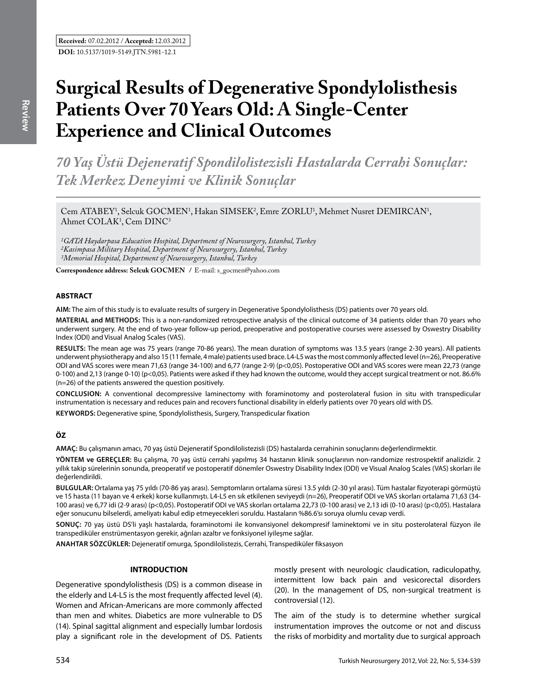# **Surgical Results of Degenerative Spondylolisthesis Patients Over 70 Years Old: A Single-Center Experience and Clinical Outcomes**

*70 Yaş Üstü Dejeneratif Spondilolistezisli Hastalarda Cerrahi Sonuçlar: Tek Merkez Deneyimi ve Klinik Sonuçlar* 

Cem ATABEY<sup>1</sup>, Selcuk GOCMEN<sup>1</sup>, Hakan SIMSEK<sup>2</sup>, Emre ZORLU<sup>1</sup>, Mehmet Nusret DEMIRCAN<sup>1</sup>, Ahmet  $COLAK<sup>1</sup>$ , Cem  $DINC<sup>3</sup>$ 

*1GATA Haydarpasa Education Hospital, Department of Neurosurgery, Istanbul, Turkey 2Kasimpasa Military Hospital, Department of Neurosurgery, Istanbul, Turkey 3Memorial Hospital, Department of Neurosurgery, Istanbul, Turkey*

**Correspondence address: Selcuk Gocmen /** E-mail: s\_gocmen@yahoo.com

## **ABSTRACT**

**AIm:** The aim of this study is to evaluate results of surgery in Degenerative Spondylolisthesis (DS) patients over 70 years old.

**MaterIal and Methods:** This is a non-randomized retrospective analysis of the clinical outcome of 34 patients older than 70 years who underwent surgery. At the end of two-year follow-up period, preoperative and postoperative courses were assessed by Oswestry Disability Index (ODI) and Visual Analog Scales (VAS).

**Results:** The mean age was 75 years (range 70-86 years). The mean duration of symptoms was 13.5 years (range 2-30 years). All patients underwent physiotherapy and also 15 (11 female, 4 male) patients used brace. L4-L5 was the most commonly affected level (n=26), Preoperative ODI and VAS scores were mean 71,63 (range 34-100) and 6,77 (range 2-9) (p<0,05). Postoperative ODI and VAS scores were mean 22,73 (range 0-100) and 2,13 (range 0-10) (p<0,05). Patients were asked if they had known the outcome, would they accept surgical treatment or not. 86.6% (n=26) of the patients answered the question positively.

**ConclusIon:** A conventional decompressive laminectomy with foraminotomy and posterolateral fusion in situ with transpedicular instrumentation is necessary and reduces pain and recovers functional disability in elderly patients over 70 years old with DS.

**Keywords:** Degenerative spine, Spondylolisthesis, Surgery, Transpedicular fixation

# **ÖZ**

**AMAÇ:** Bu çalışmanın amacı, 70 yaş üstü Dejeneratif Spondilolistezisli (DS) hastalarda cerrahinin sonuçlarını değerlendirmektir.

**YÖNTEM ve GEREÇLER:** Bu çalışma, 70 yaş üstü cerrahi yapılmış 34 hastanın klinik sonuçlarının non-randomize restrospektif analizidir. 2 yıllık takip sürelerinin sonunda, preoperatif ve postoperatif dönemler Oswestry Disability Index (ODI) ve Visual Analog Scales (VAS) skorları ile değerlendirildi.

**BULGULAR:** Ortalama yaş 75 yıldı (70-86 yaş arası). Semptomların ortalama süresi 13.5 yıldı (2-30 yıl arası). Tüm hastalar fizyoterapi görmüştü ve 15 hasta (11 bayan ve 4 erkek) korse kullanmıştı. L4-L5 en sık etkilenen seviyeydi (n=26), Preoperatif ODI ve VAS skorları ortalama 71,63 (34- 100 arası) ve 6,77 idi (2-9 arası) (p<0,05). Postoperatif ODI ve VAS skorları ortalama 22,73 (0-100 arası) ve 2,13 idi (0-10 arası) (p<0,05). Hastalara eğer sonucunu bilselerdi, ameliyatı kabul edip etmeyecekleri soruldu. Hastaların %86.6'sı soruya olumlu cevap verdi.

**SONUÇ:** 70 yaş üstü DS'li yaşlı hastalarda, foraminotomi ile konvansiyonel dekompresif laminektomi ve in situ posterolateral füzyon ile transpediküler enstrümentasyon gerekir, ağrıları azaltır ve fonksiyonel iyileşme sağlar.

**ANAHTAR SÖZCÜKLER:** Dejeneratif omurga, Spondilolistezis, Cerrahi, Transpediküler fiksasyon

#### **INTRODUCTION**

Degenerative spondylolisthesis (DS) is a common disease in the elderly and L4-L5 is the most frequently affected level (4). Women and African-Americans are more commonly affected than men and whites. Diabetics are more vulnerable to DS (14). Spinal sagittal alignment and especially lumbar lordosis play a significant role in the development of DS. Patients

mostly present with neurologic claudication, radiculopathy, intermittent low back pain and vesicorectal disorders (20). In the management of DS, non-surgical treatment is controversial (12).

The aim of the study is to determine whether surgical instrumentation improves the outcome or not and discuss the risks of morbidity and mortality due to surgical approach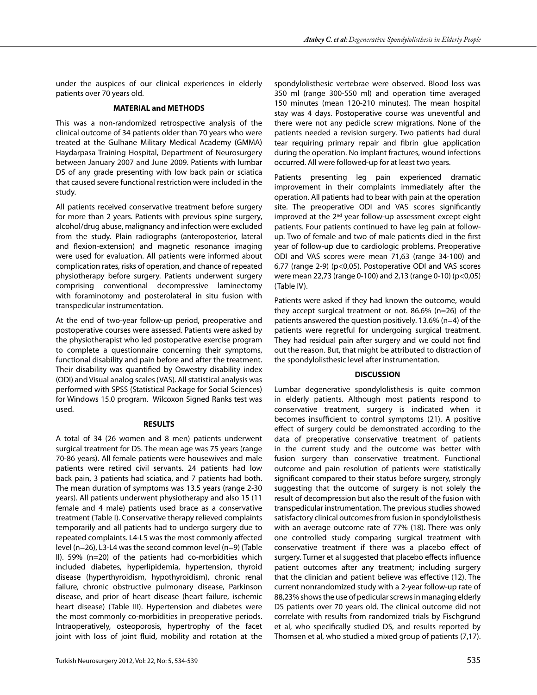under the auspices of our clinical experiences in elderly patients over 70 years old.

## **MATERIAL and METHODS**

This was a non-randomized retrospective analysis of the clinical outcome of 34 patients older than 70 years who were treated at the Gulhane Military Medical Academy (GMMA) Haydarpasa Training Hospital, Department of Neurosurgery between January 2007 and June 2009. Patients with lumbar DS of any grade presenting with low back pain or sciatica that caused severe functional restriction were included in the study.

All patients received conservative treatment before surgery for more than 2 years. Patients with previous spine surgery, alcohol/drug abuse, malignancy and infection were excluded from the study. Plain radiographs (anteroposterior, lateral and flexion-extension) and magnetic resonance imaging were used for evaluation. All patients were informed about complication rates, risks of operation, and chance of repeated physiotherapy before surgery. Patients underwent surgery comprising conventional decompressive laminectomy with foraminotomy and posterolateral in situ fusion with transpedicular instrumentation.

At the end of two-year follow-up period, preoperative and postoperative courses were assessed. Patients were asked by the physiotherapist who led postoperative exercise program to complete a questionnaire concerning their symptoms, functional disability and pain before and after the treatment. Their disability was quantified by Oswestry disability index (ODI) and Visual analog scales (VAS). All statistical analysis was performed with SPSS (Statistical Package for Social Sciences) for Windows 15.0 program. Wilcoxon Signed Ranks test was used.

#### **RESULTS**

A total of 34 (26 women and 8 men) patients underwent surgical treatment for DS. The mean age was 75 years (range 70-86 years). All female patients were housewives and male patients were retired civil servants. 24 patients had low back pain, 3 patients had sciatica, and 7 patients had both. The mean duration of symptoms was 13.5 years (range 2-30 years). All patients underwent physiotherapy and also 15 (11 female and 4 male) patients used brace as a conservative treatment (Table I). Conservative therapy relieved complaints temporarily and all patients had to undergo surgery due to repeated complaints. L4-L5 was the most commonly affected level (n=26), L3-L4 was the second common level (n=9) (Table II). 59% (n=20) of the patients had co-morbidities which included diabetes, hyperlipidemia, hypertension, thyroid disease (hyperthyroidism, hypothyroidism), chronic renal failure, chronic obstructive pulmonary disease, Parkinson disease, and prior of heart disease (heart failure, ischemic heart disease) (Table III). Hypertension and diabetes were the most commonly co-morbidities in preoperative periods. Intraoperatively, osteoporosis, hypertrophy of the facet joint with loss of joint fluid, mobility and rotation at the spondylolisthesic vertebrae were observed. Blood loss was 350 ml (range 300-550 ml) and operation time averaged 150 minutes (mean 120-210 minutes). The mean hospital stay was 4 days. Postoperative course was uneventful and there were not any pedicle screw migrations. None of the patients needed a revision surgery. Two patients had dural tear requiring primary repair and fibrin glue application during the operation. No implant fractures, wound infections occurred. All were followed-up for at least two years.

Patients presenting leg pain experienced dramatic improvement in their complaints immediately after the operation. All patients had to bear with pain at the operation site. The preoperative ODI and VAS scores significantly improved at the 2<sup>nd</sup> year follow-up assessment except eight patients. Four patients continued to have leg pain at followup. Two of female and two of male patients died in the first year of follow-up due to cardiologic problems. Preoperative ODI and VAS scores were mean 71,63 (range 34-100) and 6,77 (range 2-9) (p<0,05). Postoperative ODI and VAS scores were mean 22,73 (range 0-100) and 2,13 (range 0-10) (p<0,05) (Table IV).

Patients were asked if they had known the outcome, would they accept surgical treatment or not. 86.6% (n=26) of the patients answered the question positively. 13.6% (n=4) of the patients were regretful for undergoing surgical treatment. They had residual pain after surgery and we could not find out the reason. But, that might be attributed to distraction of the spondylolisthesic level after instrumentation.

#### **DISCUSSION**

Lumbar degenerative spondylolisthesis is quite common in elderly patients. Although most patients respond to conservative treatment, surgery is indicated when it becomes insufficient to control symptoms (21). A positive effect of surgery could be demonstrated according to the data of preoperative conservative treatment of patients in the current study and the outcome was better with fusion surgery than conservative treatment. Functional outcome and pain resolution of patients were statistically significant compared to their status before surgery, strongly suggesting that the outcome of surgery is not solely the result of decompression but also the result of the fusion with transpedicular instrumentation. The previous studies showed satisfactory clinical outcomes from fusion in spondylolisthesis with an average outcome rate of 77% (18). There was only one controlled study comparing surgical treatment with conservative treatment if there was a placebo effect of surgery. Turner et al suggested that placebo effects influence patient outcomes after any treatment; including surgery that the clinician and patient believe was effective (12). The current nonrandomized study with a 2-year follow-up rate of 88,23% shows the use of pedicular screws in managing elderly DS patients over 70 years old. The clinical outcome did not correlate with results from randomized trials by Fischgrund et al, who specifically studied DS, and results reported by Thomsen et al, who studied a mixed group of patients (7,17).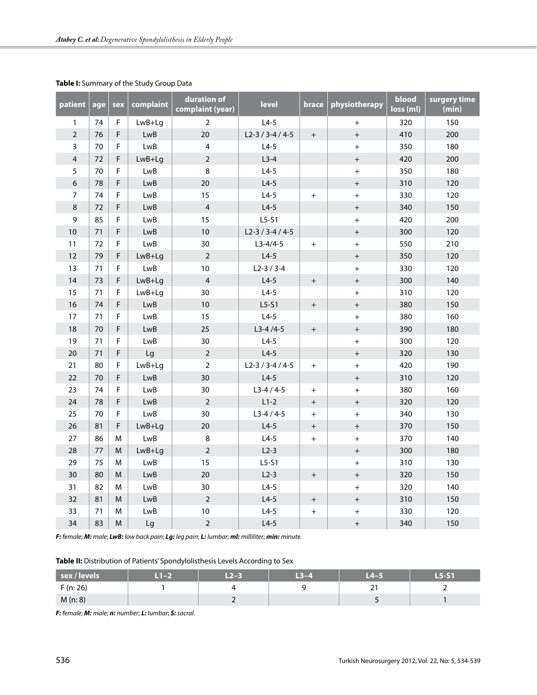| patient        | age | sex         | complaint  | duration of<br>complaint (year) | <b>level</b>   | brace            | physiotherapy    | blood<br>loss (ml) | surgery time<br>(min) |
|----------------|-----|-------------|------------|---------------------------------|----------------|------------------|------------------|--------------------|-----------------------|
| $\mathbf{1}$   | 74  | F.          | LwB+Lg     | $\overline{2}$                  | $L4-5$         |                  | $+$              | 320                | 150                   |
| $\overline{2}$ | 76  | F           | LwB        | 20                              | $L2-3/3-4/4-5$ | $+$              | $+$              | 410                | 200                   |
| $\overline{3}$ | 70  | F.          | LwB        | $\overline{\mathbf{4}}$         | $L4-5$         |                  | $^{+}$           | 350                | 180                   |
| $\overline{4}$ | 72  | F           | LwB+Lg     | $\overline{2}$                  | $L3-4$         |                  | $+$              | 420                | 200                   |
| 5              | 70  | F           | LwB        | 8                               | $L4-5$         |                  | $^{+}$           | 350                | 180                   |
| 6              | 78  | F.          | <b>LwB</b> | 20                              | $L4-5$         |                  | $+$              | 310                | 120                   |
| $\overline{7}$ | 74  | $\mathsf F$ | LwB        | 15                              | $L4-5$         | $+$              | $^{+}$           | 330                | 120                   |
| $\,8\,$        | 72  | F.          | <b>LwB</b> | $\overline{4}$                  | $L4-5$         |                  | $\boldsymbol{+}$ | 340                | 150                   |
| 9              | 85  | F.          | LwB        | 15                              | $L5-51$        |                  | $+$              | 420                | 200                   |
| 10             | 71  | F           | <b>LwB</b> | 10                              | $L2-3/3-4/4-5$ |                  | $\boldsymbol{+}$ | 300                | 120                   |
| 11             | 72  | $\mathsf F$ | <b>LwB</b> | 30                              | $L3-4/4-5$     | $+$              | $+$              | 550                | 210                   |
| 12             | 79  | F.          | LwB+Lg     | $\overline{2}$                  | $L4-5$         |                  | $+$              | 350                | 120                   |
| 13             | 71  | F           | <b>LwB</b> | $10\,$                          | $L2-3/3-4$     |                  | $^{+}$           | 330                | 120                   |
| 14             | 73  | F.          | LwB+Lg     | $\overline{4}$                  | $L4-5$         | $+$              | $+$              | 300                | 140                   |
| 15             | 71  | F           | LwB+Lg     | 30                              | $L4-5$         |                  | $+$              | 310                | 120                   |
| 16             | 74  | F.          | <b>LwB</b> | $10\,$                          | $L5-51$        | $\boldsymbol{+}$ | $\boldsymbol{+}$ | 380                | 150                   |
| 17             | 71  | $\mathsf F$ | LwB        | 15                              | $L4-5$         |                  | $+$              | 380                | 160                   |
| 18             | 70  | F           | <b>LwB</b> | 25                              | $L3-4/4-5$     | $+$              | $\boldsymbol{+}$ | 390                | 180                   |
| 19             | 71  | F.          | LwB        | 30                              | $L4-5$         |                  | $\boldsymbol{+}$ | 300                | 120                   |
| 20             | 71  | F           | Lg         | $\overline{2}$                  | $L4-5$         |                  | $+$              | 320                | 130                   |
| 21             | 80  | F           | LwB+Lg     | $\overline{2}$                  | $L2-3/3-4/4-5$ | $+$              | $\ddot{}$        | 420                | 190                   |
| 22             | 70  | F.          | <b>LwB</b> | 30                              | $L4-5$         |                  | $+$              | 310                | 120                   |
| 23             | 74  | F.          | <b>LwB</b> | 30                              | $L3-4/4-5$     | $+$              | $\ddot{}$        | 380                | 160                   |
| 24             | 78  | F           | <b>LwB</b> | $\overline{2}$                  | $L1-2$         | $+$              | $\boldsymbol{+}$ | 320                | 120                   |
| 25             | 70  | $\mathsf F$ | <b>LwB</b> | 30                              | $L3-4/4-5$     | $+$              | $+$              | 340                | 130                   |
| 26             | 81  | F           | LwB+Lg     | 20                              | $L4-5$         | $+$              | $\boldsymbol{+}$ | 370                | 150                   |
| 27             | 86  | M           | <b>LwB</b> | $\,8\,$                         | $L4-5$         | $+$              | $+$              | 370                | 140                   |
| 28             | 77  | M           | LwB+Lg     | $\overline{2}$                  | $L2-3$         |                  | $+$              | 300                | 180                   |
| 29             | 75  | M           | <b>LwB</b> | 15                              | $L5-51$        |                  | $+$              | 310                | 130                   |
| 30             | 80  | M           | <b>LwB</b> | 20                              | $L2-3$         | $+$              | $+$              | 320                | 150                   |
| 31             | 82  | M           | <b>LwB</b> | 30                              | $L4-5$         |                  | $\ddot{}$        | 320                | 140                   |
| 32             | 81  | M           | <b>LwB</b> | $\overline{2}$                  | $L4-5$         | $+$              | $+$              | 310                | 150                   |
| 33             | 71  | M           | <b>LwB</b> | 10                              | $L4-5$         | $\color{red}{+}$ | $+$              | 330                | 120                   |
| 34             | 83  | M           | Lg         | $\overline{2}$                  | $L4-5$         |                  | $\boldsymbol{+}$ | 340                | 150                   |

## **Table I:** Summary of the Study Group Data

*F: female*; *M: male*; *LwB: low back pain*; *Lg: leg pain*; *L: lumbar*; *ml: milliliter*; *min: minute.*

**Table II:** Distribution of Patients' Spondylolisthesis Levels According to Sex

| sex / levels | $T-2$ | $L2-3$ | $L3-4$ | 14–5 | $L5-S1$ |
|--------------|-------|--------|--------|------|---------|
| F(n: 26)     |       |        |        | ◢    |         |
| M(n:8)       |       |        |        |      |         |

*F: female*; *M: male*; *n: number*; *L: lumbar*; *S: sacral.*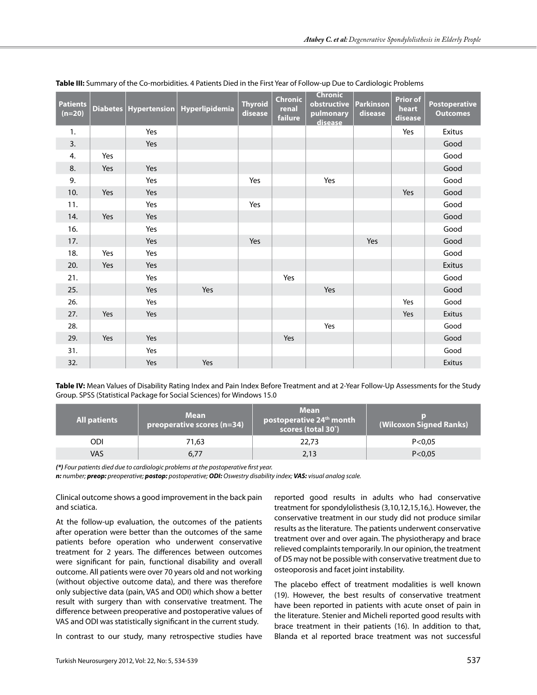| <b>Patients</b><br>$(n=20)$ |     |     | Diabetes   Hypertension   Hyperlipidemia | <b>Thyroid</b><br>disease | <b>Chronic</b><br>renal<br>failure | <b>Chronic</b><br>obstructive<br>pulmonary<br>disease | <b>Parkinson</b><br>disease | <b>Prior of</b><br>heart<br>disease | <b>Postoperative</b><br><b>Outcomes</b> |
|-----------------------------|-----|-----|------------------------------------------|---------------------------|------------------------------------|-------------------------------------------------------|-----------------------------|-------------------------------------|-----------------------------------------|
| 1.                          |     | Yes |                                          |                           |                                    |                                                       |                             | Yes                                 | Exitus                                  |
| 3.                          |     | Yes |                                          |                           |                                    |                                                       |                             |                                     | Good                                    |
| 4.                          | Yes |     |                                          |                           |                                    |                                                       |                             |                                     | Good                                    |
| 8.                          | Yes | Yes |                                          |                           |                                    |                                                       |                             |                                     | Good                                    |
| 9.                          |     | Yes |                                          | Yes                       |                                    | Yes                                                   |                             |                                     | Good                                    |
| 10.                         | Yes | Yes |                                          |                           |                                    |                                                       |                             | Yes                                 | Good                                    |
| 11.                         |     | Yes |                                          | Yes                       |                                    |                                                       |                             |                                     | Good                                    |
| 14.                         | Yes | Yes |                                          |                           |                                    |                                                       |                             |                                     | Good                                    |
| 16.                         |     | Yes |                                          |                           |                                    |                                                       |                             |                                     | Good                                    |
| 17.                         |     | Yes |                                          | Yes                       |                                    |                                                       | Yes                         |                                     | Good                                    |
| 18.                         | Yes | Yes |                                          |                           |                                    |                                                       |                             |                                     | Good                                    |
| 20.                         | Yes | Yes |                                          |                           |                                    |                                                       |                             |                                     | Exitus                                  |
| 21.                         |     | Yes |                                          |                           | Yes                                |                                                       |                             |                                     | Good                                    |
| 25.                         |     | Yes | Yes                                      |                           |                                    | Yes                                                   |                             |                                     | Good                                    |
| 26.                         |     | Yes |                                          |                           |                                    |                                                       |                             | Yes                                 | Good                                    |
| 27.                         | Yes | Yes |                                          |                           |                                    |                                                       |                             | Yes                                 | Exitus                                  |
| 28.                         |     |     |                                          |                           |                                    | Yes                                                   |                             |                                     | Good                                    |
| 29.                         | Yes | Yes |                                          |                           | Yes                                |                                                       |                             |                                     | Good                                    |
| 31.                         |     | Yes |                                          |                           |                                    |                                                       |                             |                                     | Good                                    |
| 32.                         |     | Yes | Yes                                      |                           |                                    |                                                       |                             |                                     | Exitus                                  |

#### **Table III:** Summary of the Co-morbidities. 4 Patients Died in the First Year of Follow-up Due to Cardiologic Problems

**Table IV:** Mean Values of Disability Rating Index and Pain Index Before Treatment and at 2-Year Follow-Up Assessments for the Study Group. SPSS (Statistical Package for Social Sciences) for Windows 15.0

| <b>All patients</b> | <b>Mean</b><br>preoperative scores (n=34) | <b>Mean</b><br>postoperative 24th month<br>scores (total 30 <sup>*</sup> ) | (Wilcoxon Signed Ranks) |  |  |
|---------------------|-------------------------------------------|----------------------------------------------------------------------------|-------------------------|--|--|
| ODI                 | 71,63                                     | 22,73                                                                      | P < 0.05                |  |  |
| VAS                 | 6,77                                      | 2,13                                                                       | P < 0.05                |  |  |

*(\*) Four patients died due to cardiologic problems at the postoperative first year.*

*n: number; preop: preoperative; postop: postoperative; ODI: Oswestry disability index; VAS: visual analog scale.*

Clinical outcome shows a good improvement in the back pain and sciatica.

At the follow-up evaluation, the outcomes of the patients after operation were better than the outcomes of the same patients before operation who underwent conservative treatment for 2 years. The differences between outcomes were significant for pain, functional disability and overall outcome. All patients were over 70 years old and not working (without objective outcome data), and there was therefore only subjective data (pain, VAS and ODI) which show a better result with surgery than with conservative treatment. The difference between preoperative and postoperative values of VAS and ODI was statistically significant in the current study.

In contrast to our study, many retrospective studies have

reported good results in adults who had conservative treatment for spondylolisthesis (3,10,12,15,16,). However, the conservative treatment in our study did not produce similar results as the literature. The patients underwent conservative treatment over and over again. The physiotherapy and brace relieved complaints temporarily. In our opinion, the treatment of DS may not be possible with conservative treatment due to osteoporosis and facet joint instability.

The placebo effect of treatment modalities is well known (19). However, the best results of conservative treatment have been reported in patients with acute onset of pain in the literature. Stenier and Micheli reported good results with brace treatment in their patients (16). In addition to that, Blanda et al reported brace treatment was not successful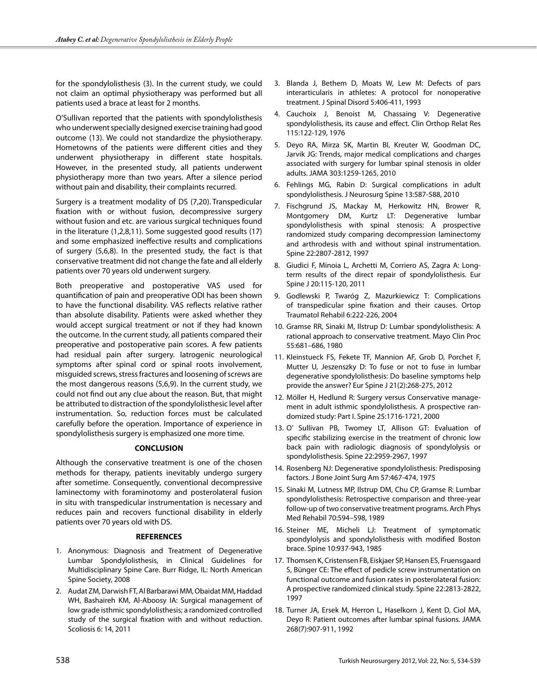for the spondylolisthesis (3). In the current study, we could not claim an optimal physiotherapy was performed but all patients used a brace at least for 2 months.

O'Sullivan reported that the patients with spondylolisthesis who underwent specially designed exercise training had good outcome (13). We could not standardize the physiotherapy. Hometowns of the patients were different cities and they underwent physiotherapy in different state hospitals. However, in the presented study, all patients underwent physiotherapy more than two years. After a silence period without pain and disability, their complaints recurred.

Surgery is a treatment modality of DS (7,20). Transpedicular fixation with or without fusion, decompressive surgery without fusion and etc. are various surgical techniques found in the literature (1,2,8,11). Some suggested good results (17) and some emphasized ineffective results and complications of surgery (5,6,8). In the presented study, the fact is that conservative treatment did not change the fate and all elderly patients over 70 years old underwent surgery.

Both preoperative and postoperative VAS used for quantification of pain and preoperative ODI has been shown to have the functional disability. VAS reflects relative rather than absolute disability. Patients were asked whether they would accept surgical treatment or not if they had known the outcome. In the current study, all patients compared their preoperative and postoperative pain scores. A few patients had residual pain after surgery. Iatrogenic neurological symptoms after spinal cord or spinal roots involvement, misguided screws, stress fractures and loosening of screws are the most dangerous reasons (5,6,9). In the current study, we could not find out any clue about the reason. But, that might be attributed to distraction of the spondylolisthesic level after instrumentation. So, reduction forces must be calculated carefully before the operation. Importance of experience in spondylolisthesis surgery is emphasized one more time.

# **CONCLUSION**

Although the conservative treatment is one of the chosen methods for therapy, patients inevitably undergo surgery after sometime. Consequently, conventional decompressive laminectomy with foraminotomy and posterolateral fusion in situ with transpedicular instrumentation is necessary and reduces pain and recovers functional disability in elderly patients over 70 years old with DS.

#### **REFERENCES**

- 1. Anonymous: Diagnosis and Treatment of Degenerative Lumbar Spondylolisthesis, in Clinical Guidelines for Multidisciplinary Spine Care. Burr Ridge, IL: North American Spine Society, 2008
- 2. Audat ZM, Darwish FT, Al Barbarawi MM, Obaidat MM, Haddad WH, Bashaireh KM, Al-Aboosy IA: Surgical management of low grade isthmic spondylolisthesis; a randomized controlled study of the surgical fixation with and without reduction. Scoliosis 6: 14, 2011
- 3. Blanda J, Bethem D, Moats W, Lew M: Defects of pars interarticularis in athletes: A protocol for nonoperative treatment. J Spinal Disord 5:406-411, 1993
- 4. Cauchoix J, Benoist M, Chassaing V: Degenerative spondylolisthesis, its cause and effect. Clin Orthop Relat Res 115:122-129, 1976
- 5. Deyo RA, Mirza SK, Martin BI, Kreuter W, Goodman DC, Jarvik JG: Trends, major medical complications and charges associated with surgery for lumbar spinal stenosis in older adults. JAMA 303:1259-1265, 2010
- 6. Fehlings MG, Rabin D: Surgical complications in adult spondylolisthesis. J Neurosurg Spine 13:587-588, 2010
- 7. Fischgrund JS, Mackay M, Herkowitz HN, Brower R, Montgomery DM, Kurtz LT: Degenerative lumbar spondylolisthesis with spinal stenosis: A prospective randomized study comparing decompression laminectomy and arthrodesis with and without spinal instrumentation. Spine 22:2807-2812, 1997
- 8. Giudici F, Minoia L, Archetti M, Corriero AS, Zagra A: Longterm results of the direct repair of spondylolisthesis. Eur Spine J 20:115-120, 2011
- 9. Godlewski P, Twaróg Z, Mazurkiewicz T: Complications of transpedicular spine fixation and their causes. Ortop Traumatol Rehabil 6:222-226, 2004
- 10. Gramse RR, Sinaki M, Ilstrup D: Lumbar spondylolisthesis: A rational approach to conservative treatment. Mayo Clin Proc 55:681–686, 1980
- 11. Kleinstueck FS, Fekete TF, Mannion AF, Grob D, Porchet F, Mutter U, Jeszenszky D: To fuse or not to fuse in lumbar degenerative spondylolisthesis: Do baseline symptoms help provide the answer? Eur Spine J 21(2):268-275, 2012
- 12. Möller H, Hedlund R: Surgery versus Conservative management in adult isthmic spondylolisthesis. A prospective randomized study: Part I. Spine 25:1716-1721, 2000
- 13. O' Sullivan PB, Twomey LT, Allison GT: Evaluation of specific stabilizing exercise in the treatment of chronic low back pain with radiologic diagnosis of spondylolysis or spondylolisthesis. Spine 22:2959-2967, 1997
- 14. Rosenberg NJ: Degenerative spondylolisthesis: Predisposing factors. J Bone Joint Surg Am 57:467-474, 1975
- 15. Sinaki M, Lutness MP, Ilstrup DM, Chu CP, Gramse R: Lumbar spondylolisthesis: Retrospective comparison and three-year follow-up of two conservative treatment programs. Arch Phys Med Rehabil 70:594–598, 1989
- 16. Steiner ME, Micheli LJ: Treatment of symptomatic spondylolysis and spondylolisthesis with modified Boston brace. Spine 10:937-943, 1985
- 17. Thomsen K, Cristensen FB, Eiskjaer SP, Hansen ES, Fruensgaard S, Bünger CE: The effect of pedicle screw instrumentation on functional outcome and fusion rates in posterolateral fusion: A prospective randomized clinical study. Spine 22:2813-2822, 1997
- 18. Turner JA, Ersek M, Herron L, Haselkorn J, Kent D, Ciol MA, Deyo R: Patient outcomes after lumbar spinal fusions. JAMA 268(7):907-911, 1992